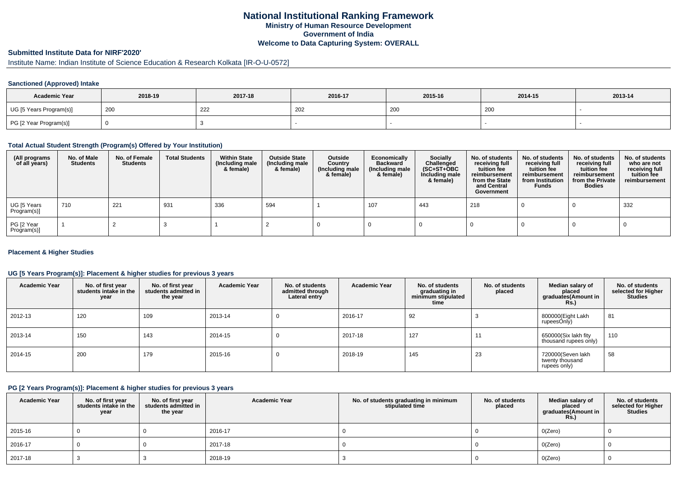## **National Institutional Ranking FrameworkMinistry of Human Resource DevelopmentGovernment of IndiaWelcome to Data Capturing System: OVERALL**

# **Submitted Institute Data for NIRF'2020'**

# Institute Name: Indian Institute of Science Education & Research Kolkata [IR-O-U-0572]

### **Sanctioned (Approved) Intake**

| <b>Academic Year</b>    | 2018-19 | 2017-18 | 2016-17 | 2015-16 | 2014-15 | 2013-14 |
|-------------------------|---------|---------|---------|---------|---------|---------|
| UG [5 Years Program(s)] | 200     | 222     | 202     | 200     | 200     |         |
| PG [2 Year Program(s)]  |         |         |         |         |         |         |

#### **Total Actual Student Strength (Program(s) Offered by Your Institution)**

| (All programs<br>of all years) | No. of Male<br><b>Students</b> | No. of Female<br>Students | <b>Total Students</b> | <b>Within State</b><br>(Including male<br>& female) | <b>Outside State</b><br>(Including male<br>& female) | Outside<br>Country<br>(Including male<br>& female) | Economically<br>Backward<br>(Including male<br>& female) | <b>Socially</b><br>Challenged<br>$(SC+ST+OBC)$<br>Including male<br>& female) | No. of students<br>receiving full<br>tuition fee<br>reimbursement<br>from the State<br>and Central<br>Government | No. of students<br>receiving full<br>tuition fee<br>reimbursement<br>from Institution<br><b>Funds</b> | No. of students<br>receiving full<br>tuition fee<br>reimbursement<br>from the Private<br><b>Bodies</b> | No. of students<br>who are not<br>receiving full<br>tuition fee<br>reimbursement |
|--------------------------------|--------------------------------|---------------------------|-----------------------|-----------------------------------------------------|------------------------------------------------------|----------------------------------------------------|----------------------------------------------------------|-------------------------------------------------------------------------------|------------------------------------------------------------------------------------------------------------------|-------------------------------------------------------------------------------------------------------|--------------------------------------------------------------------------------------------------------|----------------------------------------------------------------------------------|
| UG [5 Years<br>Program(s)]     | 710                            | 221                       | 931                   | 336                                                 | 594                                                  |                                                    | 107                                                      | 443                                                                           | 218                                                                                                              |                                                                                                       |                                                                                                        | 332                                                                              |
| PG [2 Year<br>Program(s)]      |                                |                           |                       |                                                     |                                                      |                                                    |                                                          |                                                                               |                                                                                                                  |                                                                                                       |                                                                                                        |                                                                                  |

### **Placement & Higher Studies**

### **UG [5 Years Program(s)]: Placement & higher studies for previous 3 years**

| <b>Academic Year</b> | No. of first year<br>students intake in the<br>year | No. of first vear<br>students admitted in<br>the year | <b>Academic Year</b> | No. of students<br>admitted through<br>Lateral entry | <b>Academic Year</b> | No. of students<br>graduating in<br>minimum stipulated<br>time | No. of students<br>placed | Median salary of<br>placed<br>graduates(Amount in<br>Rs. | No. of students<br>selected for Higher<br><b>Studies</b> |
|----------------------|-----------------------------------------------------|-------------------------------------------------------|----------------------|------------------------------------------------------|----------------------|----------------------------------------------------------------|---------------------------|----------------------------------------------------------|----------------------------------------------------------|
| 2012-13              | 120                                                 | 109                                                   | 2013-14              | υ                                                    | 2016-17              | 92                                                             |                           | 800000(Eight Lakh<br>rupeesOnly)                         | 81                                                       |
| 2013-14              | 150                                                 | 143                                                   | 2014-15              | υ                                                    | 2017-18              | 127                                                            | 11                        | 650000(Six lakh fity<br>thousand rupees only)            | 110                                                      |
| 2014-15              | 200                                                 | 179                                                   | 2015-16              | υ                                                    | 2018-19              | 145                                                            | 23                        | 720000(Seven lakh<br>twenty thousand<br>rupees only)     | 58                                                       |

#### **PG [2 Years Program(s)]: Placement & higher studies for previous 3 years**

| <b>Academic Year</b> | No. of first year<br>students intake in the<br>year | No. of first year<br>students admitted in<br>the year | <b>Academic Year</b> | No. of students graduating in minimum<br>stipulated time | No. of students<br>placed | Median salary of<br>placed<br>graduates(Amount in<br>Rs. | No. of students<br>selected for Higher<br><b>Studies</b> |
|----------------------|-----------------------------------------------------|-------------------------------------------------------|----------------------|----------------------------------------------------------|---------------------------|----------------------------------------------------------|----------------------------------------------------------|
| 2015-16              |                                                     |                                                       | 2016-17              |                                                          |                           | O(Zero)                                                  |                                                          |
| 2016-17              |                                                     |                                                       | 2017-18              |                                                          |                           | O(Zero)                                                  |                                                          |
| 2017-18              |                                                     |                                                       | 2018-19              |                                                          |                           | O(Zero)                                                  |                                                          |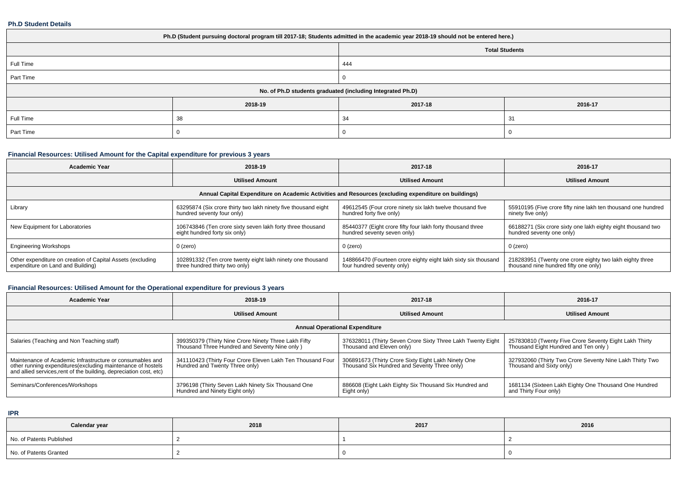#### **Ph.D Student Details**

| Ph.D (Student pursuing doctoral program till 2017-18; Students admitted in the academic year 2018-19 should not be entered here.) |         |         |                       |  |  |
|-----------------------------------------------------------------------------------------------------------------------------------|---------|---------|-----------------------|--|--|
|                                                                                                                                   |         |         | <b>Total Students</b> |  |  |
| Full Time                                                                                                                         |         | 444     |                       |  |  |
| Part Time                                                                                                                         |         |         |                       |  |  |
| No. of Ph.D students graduated (including Integrated Ph.D)                                                                        |         |         |                       |  |  |
|                                                                                                                                   | 2018-19 | 2017-18 | 2016-17               |  |  |
| Full Time                                                                                                                         | 38      | 34      | 31                    |  |  |
| Part Time                                                                                                                         |         |         |                       |  |  |

## **Financial Resources: Utilised Amount for the Capital expenditure for previous 3 years**

| <b>Academic Year</b>                                                                                 | 2018-19                                                                                      | 2017-18                                                                                      | 2016-17                                                                                        |  |  |  |
|------------------------------------------------------------------------------------------------------|----------------------------------------------------------------------------------------------|----------------------------------------------------------------------------------------------|------------------------------------------------------------------------------------------------|--|--|--|
|                                                                                                      | <b>Utilised Amount</b>                                                                       | <b>Utilised Amount</b>                                                                       | <b>Utilised Amount</b>                                                                         |  |  |  |
| Annual Capital Expenditure on Academic Activities and Resources (excluding expenditure on buildings) |                                                                                              |                                                                                              |                                                                                                |  |  |  |
| Library                                                                                              | 63295874 (Six crore thirty two lakh ninety five thousand eight<br>hundred seventy four only) | 49612545 (Four crore ninety six lakh twelve thousand five<br>hundred forty five only)        | 55910195 (Five crore fifty nine lakh ten thousand one hundred<br>ninety five only)             |  |  |  |
| New Equipment for Laboratories                                                                       | 106743846 (Ten crore sixty seven lakh forty three thousand<br>eight hundred forty six only)  | 85440377 (Eight crore fifty four lakh forty thousand three<br>hundred seventy seven only)    | 66188271 (Six crore sixty one lakh eighty eight thousand two<br>hundred seventy one only)      |  |  |  |
| <b>Engineering Workshops</b>                                                                         | 0 (zero)                                                                                     | $0$ (zero)                                                                                   | $0$ (zero)                                                                                     |  |  |  |
| Other expenditure on creation of Capital Assets (excluding<br>expenditure on Land and Building)      | 102891332 (Ten crore twenty eight lakh ninety one thousand<br>three hundred thirty two only) | 148866470 (Fourteen crore eighty eight lakh sixty six thousand<br>four hundred seventy only) | 218283951 (Twenty one crore eighty two lakh eighty three thousand nine hundred fifty one only) |  |  |  |

## **Financial Resources: Utilised Amount for the Operational expenditure for previous 3 years**

| <b>Academic Year</b>                                                                                                                                                                            | 2018-19                                                                                               | 2017-18                                                                                             | 2016-17                                                                                       |  |  |  |
|-------------------------------------------------------------------------------------------------------------------------------------------------------------------------------------------------|-------------------------------------------------------------------------------------------------------|-----------------------------------------------------------------------------------------------------|-----------------------------------------------------------------------------------------------|--|--|--|
|                                                                                                                                                                                                 | <b>Utilised Amount</b>                                                                                | <b>Utilised Amount</b>                                                                              | <b>Utilised Amount</b>                                                                        |  |  |  |
| <b>Annual Operational Expenditure</b>                                                                                                                                                           |                                                                                                       |                                                                                                     |                                                                                               |  |  |  |
| Salaries (Teaching and Non Teaching staff)                                                                                                                                                      | 399350379 (Thirty Nine Crore Ninety Three Lakh Fifty<br>Thousand Three Hundred and Seventy Nine only) | 376328011 (Thirty Seven Crore Sixty Three Lakh Twenty Eight<br>Thousand and Eleven only)            | 257830810 (Twenty Five Crore Seventy Eight Lakh Thirty<br>Thousand Eight Hundred and Ten only |  |  |  |
| Maintenance of Academic Infrastructure or consumables and<br>other running expenditures (excluding maintenance of hostels<br>and allied services, rent of the building, depreciation cost, etc) | 341110423 (Thirty Four Crore Eleven Lakh Ten Thousand Four<br>Hundred and Twenty Three only)          | 306891673 (Thirty Crore Sixty Eight Lakh Ninety One<br>Thousand Six Hundred and Seventy Three only) | 327932060 (Thirty Two Crore Seventy Nine Lakh Thirty Two<br>Thousand and Sixty only)          |  |  |  |
| Seminars/Conferences/Workshops                                                                                                                                                                  | 3796198 (Thirty Seven Lakh Ninety Six Thousand One<br>Hundred and Ninety Eight only)                  | 886608 (Eight Lakh Eighty Six Thousand Six Hundred and<br>Eight only)                               | 1681134 (Sixteen Lakh Eighty One Thousand One Hundred<br>and Thirty Four only)                |  |  |  |

**IPR**

| Calendar year            | 2018 | 2017 | 2016 |
|--------------------------|------|------|------|
| No. of Patents Published |      |      |      |
| No. of Patents Granted   |      |      |      |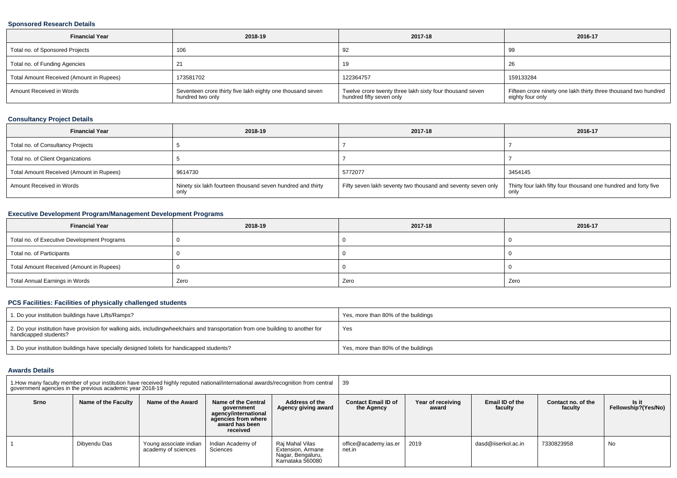### **Sponsored Research Details**

| <b>Financial Year</b>                    | 2018-19                                                                          | 2017-18                                                                              | 2016-17                                                                             |
|------------------------------------------|----------------------------------------------------------------------------------|--------------------------------------------------------------------------------------|-------------------------------------------------------------------------------------|
| Total no. of Sponsored Projects          | 106                                                                              | 92                                                                                   | 99                                                                                  |
| Total no. of Funding Agencies            |                                                                                  | 19                                                                                   | -20                                                                                 |
| Total Amount Received (Amount in Rupees) | 173581702                                                                        | 122364757                                                                            | 159133284                                                                           |
| Amount Received in Words                 | I Seventeen crore thirty five lakh eighty one thousand seven<br>hundred two only | Twelve crore twenty three lakh sixty four thousand seven<br>hundred fifty seven only | Fifteen crore ninety one lakh thirty three thousand two hundred<br>eighty four only |

## **Consultancy Project Details**

| <b>Financial Year</b>                    | 2018-19                                                    | 2017-18                                                      | 2016-17                                                         |
|------------------------------------------|------------------------------------------------------------|--------------------------------------------------------------|-----------------------------------------------------------------|
| Total no. of Consultancy Projects        |                                                            |                                                              |                                                                 |
| Total no. of Client Organizations        |                                                            |                                                              |                                                                 |
| Total Amount Received (Amount in Rupees) | 9614730                                                    | 5772077                                                      | 3454145                                                         |
| Amount Received in Words                 | Ninety six lakh fourteen thousand seven hundred and thirty | Fifty seven lakh seventy two thousand and seventy seven only | Thirty four lakh fifty four thousand one hundred and forty five |

## **Executive Development Program/Management Development Programs**

| <b>Financial Year</b>                       | 2018-19 | 2017-18 | 2016-17 |
|---------------------------------------------|---------|---------|---------|
| Total no. of Executive Development Programs |         |         |         |
| Total no. of Participants                   |         |         |         |
| Total Amount Received (Amount in Rupees)    |         |         |         |
| Total Annual Earnings in Words              | Zero    | Zero    | Zero    |

## **PCS Facilities: Facilities of physically challenged students**

| 1. Do your institution buildings have Lifts/Ramps?                                                                                                        | Yes, more than 80% of the buildings |
|-----------------------------------------------------------------------------------------------------------------------------------------------------------|-------------------------------------|
| 2. Do your institution have provision for walking aids, includingwheelchairs and transportation from one building to another for<br>handicapped students? | Yes                                 |
| 3. Do your institution buildings have specially designed toilets for handicapped students?                                                                | Yes, more than 80% of the buildings |

#### **Awards Details**

| 1. How many faculty member of your institution have received highly reputed national/international awards/recognition from central<br>government agencies in the previous academic year 2018-19 |                     |                                               |                                                                                                                |                                                                               | 39                                       |                            |                                   |                               |                              |
|-------------------------------------------------------------------------------------------------------------------------------------------------------------------------------------------------|---------------------|-----------------------------------------------|----------------------------------------------------------------------------------------------------------------|-------------------------------------------------------------------------------|------------------------------------------|----------------------------|-----------------------------------|-------------------------------|------------------------------|
| Srno                                                                                                                                                                                            | Name of the Faculty | Name of the Award                             | Name of the Central<br>government<br>agency/international<br>agencies from where<br>award has been<br>received | Address of the<br>Agency giving award                                         | <b>Contact Email ID of</b><br>the Agency | Year of receiving<br>award | <b>Email ID of the</b><br>faculty | Contact no, of the<br>faculty | Is it<br>Fellowship?(Yes/No) |
|                                                                                                                                                                                                 | Dibyendu Das        | Young associate indian<br>academy of sciences | Indian Academy of<br>Sciences                                                                                  | Raj Mahal Vilas<br>Extension, Armane<br>Nagar, Bengaluru,<br>Karnataka 560080 | office@academy.ias.er<br>net.in          | 2019                       | dasd@iiserkol.ac.in               | 7330823958                    | No                           |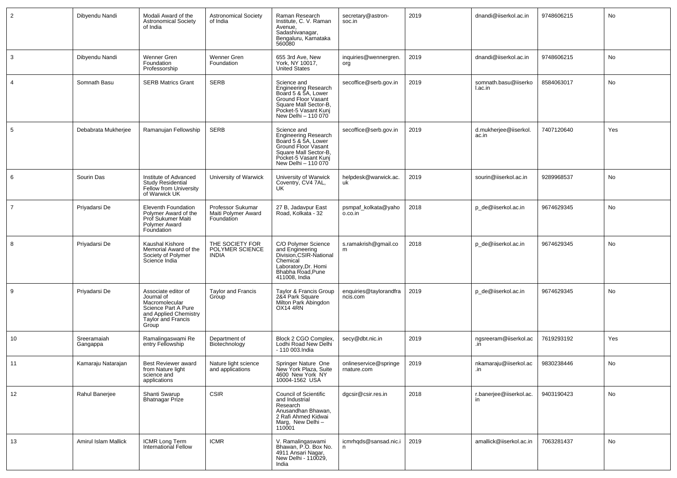| $\overline{2}$ | Dibyendu Nandi          | Modali Award of the<br><b>Astronomical Society</b><br>of India                                                                     | <b>Astronomical Society</b><br>of India                | Raman Research<br>Institute, C. V. Raman<br>Avenue,<br>Sadashivanagar,<br>Bengaluru, Karnataka<br>560080                                                         | secretary@astron-<br>soc.in         | 2019 | dnandi@iiserkol.ac.in           | 9748606215 | No  |
|----------------|-------------------------|------------------------------------------------------------------------------------------------------------------------------------|--------------------------------------------------------|------------------------------------------------------------------------------------------------------------------------------------------------------------------|-------------------------------------|------|---------------------------------|------------|-----|
| 3              | Dibyendu Nandi          | Wenner Gren<br>Foundation<br>Professorship                                                                                         | Wenner Gren<br>Foundation                              | 655 3rd Ave, New<br>York. NY 10017.<br><b>United States</b>                                                                                                      | inquiries@wennergren.<br>org        | 2019 | dnandi@iiserkol.ac.in           | 9748606215 | No  |
| $\overline{4}$ | Somnath Basu            | <b>SERB Matrics Grant</b>                                                                                                          | <b>SERB</b>                                            | Science and<br><b>Engineering Research</b><br>Board 5 & 5A, Lower<br>Ground Floor Vasant<br>Square Mall Sector-B,<br>Pocket-5 Vasant Kunj<br>New Delhi - 110 070 | secoffice@serb.gov.in               | 2019 | somnath.basu@iiserko<br>I.ac.in | 8584063017 | No  |
| 5              | Debabrata Mukherjee     | Ramanujan Fellowship                                                                                                               | <b>SERB</b>                                            | Science and<br>Engineering Research<br>Board 5 & 5A, Lower<br>Ground Floor Vasant<br>Square Mall Sector-B,<br>Pocket-5 Vasant Kunj<br>New Delhi - 110 070        | secoffice@serb.gov.in               | 2019 | d.mukherjee@iiserkol.<br>ac.in  | 7407120640 | Yes |
| 6              | Sourin Das              | Institute of Advanced<br><b>Study Residential</b><br>Fellow from University<br>of Warwick UK                                       | University of Warwick                                  | University of Warwick<br>Coventry, CV4 7AL,<br>UK                                                                                                                | helpdesk@warwick.ac.<br>uk          | 2019 | sourin@iiserkol.ac.in           | 9289968537 | No  |
| $\overline{7}$ | Priyadarsi De           | Eleventh Foundation<br>Polymer Award of the<br>Prof Sukumer Maiti<br>Polymer Award<br>Foundation                                   | Professor Sukumar<br>Maiti Polymer Award<br>Foundation | 27 B, Jadavpur East<br>Road, Kolkata - 32                                                                                                                        | psmpaf_kolkata@yaho<br>o.co.in      | 2018 | p_de@iiserkol.ac.in             | 9674629345 | No  |
| 8              | Priyadarsi De           | Kaushal Kishore<br>Memorial Award of the<br>Society of Polymer<br>Science India                                                    | THE SOCIETY FOR<br>POLYMER SCIENCE<br><b>INDIA</b>     | C/O Polymer Science<br>and Engineering<br>Division, CSIR-National<br>Chemical<br>Laboratory, Dr. Homi<br>Bhabha Road, Pune<br>411008, India                      | s.ramakrish@gmail.co<br>m           | 2018 | p_de@iiserkol.ac.in             | 9674629345 | No  |
| 9              | Priyadarsi De           | Associate editor of<br>Journal of<br>Macromolecular<br>Science Part A Pure<br>and Applied Chemistry<br>Taylor and Francis<br>Group | <b>Taylor and Francis</b><br>Group                     | Taylor & Francis Group<br>2&4 Park Square<br>Milton Park Abingdon<br>OX14 4RN                                                                                    | enquiries@taylorandfra<br>ncis.com  | 2019 | p_de@iiserkol.ac.in             | 9674629345 | No  |
| 10             | Sreeramaiah<br>Gangappa | Ramalingaswami Re<br>entry Fellowship                                                                                              | Department of<br>Biotechnology                         | Block 2 CGO Complex,<br>Lodhi Road New Delhi<br>- 110 003. India                                                                                                 | secy@dbt.nic.in                     | 2019 | ngsreeram@iiserkol.ac<br>.in    | 7619293192 | Yes |
| 11             | Kamaraju Natarajan      | Best Reviewer award<br>from Nature light<br>science and<br>applications                                                            | Nature light science<br>and applications               | Springer Nature One<br>New York Plaza, Suite<br>4600 New York NY<br>10004-1562 USA                                                                               | onlineservice@springe<br>mature.com | 2019 | nkamaraju@iiserkol.ac<br>JU.    | 9830238446 | No  |
| 12             | Rahul Banerjee          | Shanti Swarup<br><b>Bhatnagar Prize</b>                                                                                            | <b>CSIR</b>                                            | <b>Council of Scientific</b><br>and Industrial<br>Research<br>Anusandhan Bhawan,<br>2 Rafi Ahmed Kidwai<br>Marg, New Delhi-<br>110001                            | dgcsir@csir.res.in                  | 2018 | r.banerjee@iiserkol.ac.<br>in   | 9403190423 | No  |
| 13             | Amirul Islam Mallick    | ICMR Long Term<br>International Fellow                                                                                             | <b>ICMR</b>                                            | V. Ramalingaswami<br>Bhawan, P.O. Box No.<br>4911 Ansari Nagar,<br>New Delhi - 110029,<br>India                                                                  | icmrhqds@sansad.nic.i<br>n          | 2019 | amallick@iiserkol.ac.in         | 7063281437 | No  |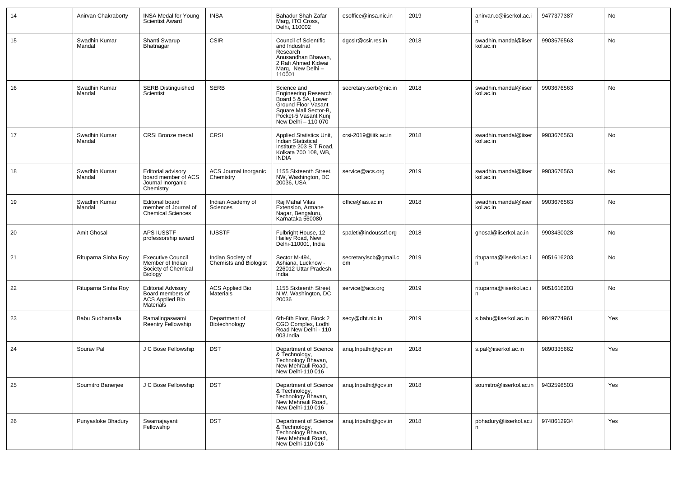| 14 | Anirvan Chakraborty     | <b>INSA Medal for Young</b><br><b>Scientist Award</b>                                       | INSA                                               | Bahadur Shah Zafar<br>Marg, ITO Cross,<br>Delhi, 110002                                                                                                          | esoffice@insa.nic.in        | 2019 | anirvan.c@iiserkol.ac.i           | 9477377387 | No  |
|----|-------------------------|---------------------------------------------------------------------------------------------|----------------------------------------------------|------------------------------------------------------------------------------------------------------------------------------------------------------------------|-----------------------------|------|-----------------------------------|------------|-----|
| 15 | Swadhin Kumar<br>Mandal | Shanti Swarup<br>Bhatnagar                                                                  | <b>CSIR</b>                                        | <b>Council of Scientific</b><br>and Industrial<br>Research<br>Anusandhan Bhawan.<br>2 Rafi Ahmed Kidwai<br>Marg, New Delhi -<br>110001                           | dgcsir@csir.res.in          | 2018 | swadhin.mandal@iiser<br>kol.ac.in | 9903676563 | No  |
| 16 | Swadhin Kumar<br>Mandal | <b>SERB Distinguished</b><br>Scientist                                                      | SERB                                               | Science and<br><b>Engineering Research</b><br>Board 5 & 5A, Lower<br>Ground Floor Vasant<br>Square Mall Sector-B,<br>Pocket-5 Vasant Kunj<br>New Delhi - 110 070 | secretary.serb@nic.in       | 2018 | swadhin.mandal@iiser<br>kol.ac.in | 9903676563 | No  |
| 17 | Swadhin Kumar<br>Mandal | CRSI Bronze medal                                                                           | <b>CRSI</b>                                        | Applied Statistics Unit,<br>Indian Statistical<br>Institute 203 B T Road,<br>Kolkata 700 108, WB,<br><b>INDIA</b>                                                | crsi-2019@iitk.ac.in        | 2018 | swadhin.mandal@iiser<br>kol.ac.in | 9903676563 | No  |
| 18 | Swadhin Kumar<br>Mandal | Editorial advisory<br>board member of ACS<br>Journal Inorganic<br>Chemistry                 | <b>ACS Journal Inorganic</b><br>Chemistry          | 1155 Sixteenth Street,<br>NW, Washington, DC<br>20036, USA                                                                                                       | service@acs.org             | 2019 | swadhin.mandal@iiser<br>kol.ac.in | 9903676563 | No  |
| 19 | Swadhin Kumar<br>Mandal | <b>Editorial board</b><br>member of Journal of<br><b>Chemical Sciences</b>                  | Indian Academy of<br>Sciences                      | Raj Mahal Vilas<br>Extension, Armane<br>Nagar, Bengaluru,<br>Karnataka 560080                                                                                    | office@ias.ac.in            | 2018 | swadhin.mandal@iiser<br>kol.ac.in | 9903676563 | No  |
| 20 | Amit Ghosal             | <b>APS IUSSTF</b><br>professorship award                                                    | <b>IUSSTF</b>                                      | Fulbright House, 12<br>Hailey Road, New<br>Delhi-110001, India                                                                                                   | spaleti@indousstf.org       | 2018 | ghosal@iiserkol.ac.in             | 9903430028 | No  |
| 21 | Rituparna Sinha Roy     | <b>Executive Council</b><br>Member of Indian<br>Society of Chemical<br>Biology              | Indian Society of<br><b>Chemists and Biologist</b> | Sector M-494,<br>Ashiana, Lucknow -<br>226012 Uttar Pradesh,<br>India                                                                                            | secretaryiscb@gmail.c<br>om | 2019 | rituparna@iiserkol.ac.i<br>n.     | 9051616203 | No  |
| 22 | Rituparna Sinha Roy     | <b>Editorial Advisory</b><br>Board members of<br><b>ACS Applied Bio</b><br><b>Materials</b> | <b>ACS Applied Bio</b><br><b>Materials</b>         | 1155 Sixteenth Street<br>N.W. Washington, DC<br>20036                                                                                                            | service@acs.org             | 2019 | rituparna@iiserkol.ac.i<br>n.     | 9051616203 | No  |
| 23 | Babu Sudhamalla         | Ramalingaswami<br>Reentry Fellowship                                                        | Department of<br>Biotechnology                     | 6th-8th Floor, Block 2<br>CGO Complex, Lodhi<br>Road New Delhi - 110<br>003.India                                                                                | secy@dbt.nic.in             | 2019 | s.babu@iiserkol.ac.in             | 9849774961 | Yes |
| 24 | Sourav Pal              | J C Bose Fellowship                                                                         | <b>DST</b>                                         | Department of Science<br>& Technology,<br>Technology Bhavan,<br>New Mehrauli Road,,<br>New Delhi-110 016                                                         | anuj.tripathi@gov.in        | 2018 | s.pal@iiserkol.ac.in              | 9890335662 | Yes |
| 25 | Soumitro Banerjee       | J C Bose Fellowship                                                                         | <b>DST</b>                                         | Department of Science<br>& Technology,<br>Technology Bhavan,<br>New Mehrauli Road,,<br>New Delhi-110 016                                                         | anuj.tripathi@gov.in        | 2018 | soumitro@iiserkol.ac.in           | 9432598503 | Yes |
| 26 | Punyasloke Bhadury      | Swarnajayanti<br>Fellowship                                                                 | <b>DST</b>                                         | Department of Science<br>& Technology,<br>Technology Bhavan,<br>New Mehrauli Road,,<br>New Delhi-110 016                                                         | anuj.tripathi@gov.in        | 2018 | pbhadury@iiserkol.ac.i            | 9748612934 | Yes |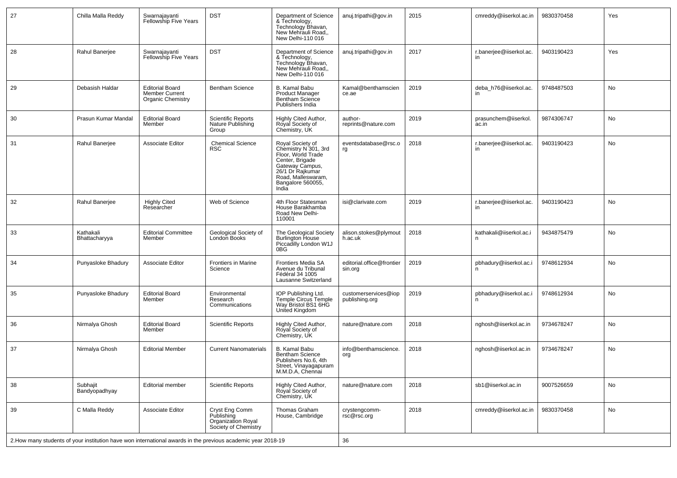| 27 | Chilla Malla Reddy         | Swarnajayanti<br><b>Fellowship Five Years</b>                        | <b>DST</b>                                                                                                   | Department of Science<br>& Technology,<br>Technology Bhavan,<br>New Mehrauli Road,,<br>New Delhi-110 016                                                                     | anuj.tripathi@gov.in                   | 2015 | cmreddy@iiserkol.ac.in             | 9830370458 | Yes |
|----|----------------------------|----------------------------------------------------------------------|--------------------------------------------------------------------------------------------------------------|------------------------------------------------------------------------------------------------------------------------------------------------------------------------------|----------------------------------------|------|------------------------------------|------------|-----|
| 28 | Rahul Banerjee             | Swarnajayanti<br>Fellowship Five Years                               | <b>DST</b>                                                                                                   | Department of Science<br>& Technology,<br>Technology Bhavan,<br>New Mehrauli Road,<br>New Delhi-110 016                                                                      | anuj.tripathi@gov.in                   | 2017 | r.banerjee@iiserkol.ac.<br>in      | 9403190423 | Yes |
| 29 | Debasish Haldar            | <b>Editorial Board</b><br>Member Current<br><b>Organic Chemistry</b> | <b>Bentham Science</b>                                                                                       | B. Kamal Babu<br><b>Product Manager</b><br>Bentham Science<br>Publishers India                                                                                               | Kamal@benthamscien<br>ce.ae            | 2019 | deba h76@iiserkol.ac.<br><i>in</i> | 9748487503 | No  |
| 30 | Prasun Kumar Mandal        | <b>Editorial Board</b><br>Member                                     | <b>Scientific Reports</b><br>Nature Publishing<br>Group                                                      | Highly Cited Author,<br>Royal Society of<br>Chemistry, UK                                                                                                                    | author-<br>reprints@nature.com         | 2019 | prasunchem@iiserkol.<br>ac.in      | 9874306747 | No  |
| 31 | Rahul Banerjee             | Associate Editor                                                     | <b>Chemical Science</b><br>RSC                                                                               | Royal Society of<br>Chemistry N 301, 3rd<br>Floor, World Trade<br>Center, Brigade<br>Gateway Campus,<br>26/1 Dr Rajkumar<br>Road, Malleswaram,<br>Bangalore 560055,<br>India | eventsdatabase@rsc.o<br>rg             | 2018 | r.banerjee@iiserkol.ac.<br>in      | 9403190423 | No  |
| 32 | Rahul Banerjee             | <b>Highly Cited</b><br>Researcher                                    | Web of Science                                                                                               | 4th Floor Statesman<br>House Barakhamba<br>Road New Delhi-<br>110001                                                                                                         | isi@clarivate.com                      | 2019 | r.banerjee@iiserkol.ac.<br>in      | 9403190423 | No  |
| 33 | Kathakali<br>Bhattacharyya | <b>Editorial Committee</b><br>Member                                 | Geological Society of<br>London Books                                                                        | The Geological Society<br><b>Burlington House</b><br>Piccadilly London W1J<br>0BG                                                                                            | alison.stokes@plymout<br>h.ac.uk       | 2018 | kathakali@iiserkol.ac.i<br>n       | 9434875479 | No  |
| 34 | Punyasloke Bhadury         | <b>Associate Editor</b>                                              | <b>Frontiers in Marine</b><br>Science                                                                        | Frontiers Media SA<br>Avenue du Tribunal<br>Fédéral 34 1005<br>Lausanne Switzerland                                                                                          | editorial.office@frontier<br>sin.org   | 2019 | pbhadury@iiserkol.ac.i<br>n        | 9748612934 | No  |
| 35 | Punyasloke Bhadury         | <b>Editorial Board</b><br>Member                                     | Environmental<br>Research<br>Communications                                                                  | IOP Publishing Ltd.<br>Temple Circus Temple<br>Way Bristol BS1 6HG<br>United Kingdom                                                                                         | customerservices@iop<br>publishing.org | 2019 | pbhadury@iiserkol.ac.i             | 9748612934 | No  |
| 36 | Nirmalya Ghosh             | <b>Editorial Board</b><br>Member                                     | <b>Scientific Reports</b>                                                                                    | Highly Cited Author,<br>Royal Society of<br>Chemistry, UK                                                                                                                    | nature@nature.com                      | 2018 | nghosh@iiserkol.ac.in              | 9734678247 | No  |
| 37 | Nirmalya Ghosh             | <b>Editorial Member</b>                                              | <b>Current Nanomaterials</b>                                                                                 | <b>B. Kamal Babu</b><br><b>Bentham Science</b><br>Publishers No.6, 4th<br>Street, Vinayagapuram<br>M.M.D.A. Chennai                                                          | info@benthamscience.<br>org            | 2018 | nghosh@iiserkol.ac.in              | 9734678247 | No  |
| 38 | Subhajit<br>Bandyopadhyay  | Editorial member                                                     | <b>Scientific Reports</b>                                                                                    | Highly Cited Author,<br>Royal Society of<br>Chemistry, UK                                                                                                                    | nature@nature.com                      | 2018 | sb1@iiserkol.ac.in                 | 9007526659 | No  |
| 39 | C Malla Reddy              | Associate Editor                                                     | Cryst Eng Comm<br>Publishing<br>Organization Royal<br>Society of Chemistry                                   | Thomas Graham<br>House, Cambridge                                                                                                                                            | crystengcomm-<br>rsc@rsc.org           | 2018 | cmreddy@iiserkol.ac.in             | 9830370458 | No  |
|    |                            |                                                                      | 2. How many students of your institution have won international awards in the previous academic year 2018-19 |                                                                                                                                                                              | 36                                     |      |                                    |            |     |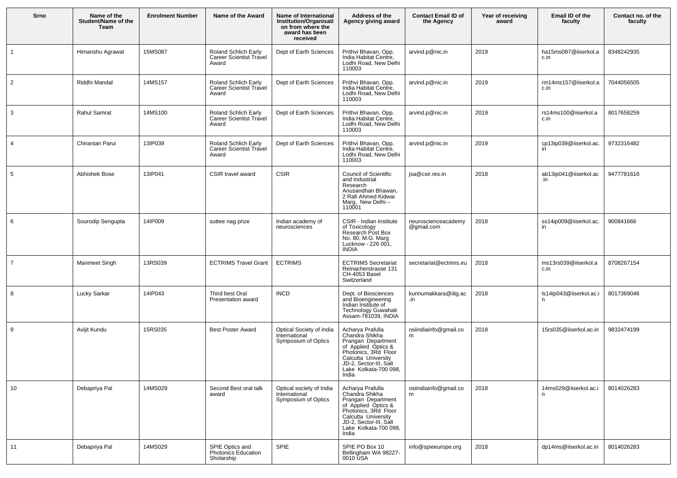| Srno           | Name of the<br>Student/Name of the<br>Team | <b>Enrolment Number</b> | Name of the Award                                               | Name of International<br><b>Institution/Organisati</b><br>on from where the<br>award has been<br>received | Address of the<br>Agency giving award                                                                                                                                                      | <b>Contact Email ID of</b><br>the Agency | Year of receiving<br>award | Email ID of the<br>faculty    | Contact no. of the<br>faculty |
|----------------|--------------------------------------------|-------------------------|-----------------------------------------------------------------|-----------------------------------------------------------------------------------------------------------|--------------------------------------------------------------------------------------------------------------------------------------------------------------------------------------------|------------------------------------------|----------------------------|-------------------------------|-------------------------------|
| $\mathbf{1}$   | Himanshu Agrawal                           | 15MS087                 | Roland Schlich Early<br><b>Career Scientist Travel</b><br>Award | Dept of Earth Sciences                                                                                    | Prithvi Bhavan, Opp.<br>India Habitat Centre,<br>Lodhi Road, New Delhi<br>110003                                                                                                           | arvind.p@nic.in                          | 2019                       | ha15ms087@iiserkol.a<br>c.in  | 8348242935                    |
| $\overline{2}$ | Riddhi Mandal                              | 14MS157                 | Roland Schlich Early<br><b>Career Scientist Travel</b><br>Award | Dept of Earth Sciences                                                                                    | Prithvi Bhavan, Opp.<br>India Habitat Centre,<br>Lodhi Road, New Delhi<br>110003                                                                                                           | arvind.p@nic.in                          | 2019                       | rm14ms157@iiserkol.a<br>c.in  | 7044056505                    |
| 3              | Rahul Samrat                               | 14MS100                 | Roland Schlich Early<br><b>Career Scientist Travel</b><br>Award | Dept of Earth Sciences                                                                                    | Prithvi Bhavan, Opp.<br>India Habitat Centre,<br>Lodhi Road, New Delhi<br>110003                                                                                                           | arvind.p@nic.in                          | 2019                       | rs14ms100@iiserkol.a<br>c.in  | 8017658259                    |
| $\overline{4}$ | Chirantan Parui                            | 13IP039                 | Roland Schlich Early<br><b>Career Scientist Travel</b><br>Award | Dept of Earth Sciences                                                                                    | Prithvi Bhavan, Opp.<br>India Habitat Centre,<br>Lodhi Road, New Delhi<br>110003                                                                                                           | arvind.p@nic.in                          | 2019                       | cp13ip039@iiserkol.ac.<br>in  | 9732316482                    |
| 5              | Abhishek Bose                              | 13IP041                 | CSIR travel award                                               | CSIR                                                                                                      | <b>Council of Scientific</b><br>and Industrial<br>Research<br>Anusandhan Bhawan,<br>2 Rafi Ahmed Kidwai<br>Marg, New Delhi-<br>110001                                                      | jsa@csir.res.in                          | 2018                       | ab13ip041@iiserkol.ac<br>.in  | 9477781616                    |
| 6              | Sourodip Sengupta                          | 14IP009                 | suttee nag prize                                                | Indian academy of<br>neurosciences                                                                        | CSIR - Indian Institute<br>of Toxicology<br>Research Post Box<br>No. 80, M.G. Marg<br>Lucknow - 226 001,<br><b>INDIA</b>                                                                   | neuroscienceacademy<br>@gmail.com        | 2018                       | ss14ip009@iiserkol.ac.<br>in  | 900841666                     |
| $\overline{7}$ | Manmeet Singh                              | 13RS039                 | <b>ECTRIMS Travel Grant</b>                                     | <b>ECTRIMS</b>                                                                                            | <b>ECTRIMS Secretariat</b><br>Reinacherstrasse 131<br>CH-4053 Basel<br>Switzerland                                                                                                         | secretariat@ectrims.eu                   | 2018                       | ms13rs039@iiserkol.a<br>c.in  | 8708267154                    |
| 8              | Lucky Sarkar                               | 14IP043                 | Third best Oral<br>Presentation award                           | <b>INCD</b>                                                                                               | Dept. of Biosciences<br>and Bioengineering<br>Indian Institute of<br>Technology Guwahati<br>Assam-781039, INDIA                                                                            | kunnumakkara@iitg.ac<br>.in              | 2018                       | Is14ip043@iiserkol.ac.i<br>n. | 8017369046                    |
| 9              | Avijit Kundu                               | 15RS035                 | <b>Best Poster Award</b>                                        | Optical Society of India<br>International<br>Symposium of Optics                                          | Acharya Prafulla<br>Chandra Shikha<br>Prangan Department<br>of Applied Optics &<br>Photonics, 3Rd Floor<br>Calcutta University<br>JD-2, Sector-III, Salt<br>Lake Kolkata-700 098,<br>India | osiindiainfo@gmail.co<br>m               | 2018                       | 15rs035@iiserkol.ac.in        | 9832474199                    |
| 10             | Debapriya Pal                              | 14MS029                 | Second Best oral talk<br>award                                  | Optical society of India<br>International<br>Symposium of Optics                                          | Acharya Prafulla<br>Chandra Shikha<br>Drangan Department<br>of Applied Optics &<br>Photonics, 3Rd Floor<br>Calcutta University<br>JD-2, Sector-III, Salt<br>Lake Kolkata-700 098,<br>India | osiindiainfo@gmail.co<br>m               | 2018                       | 14ms029@iiserkol.ac.i<br>n    | 8014026283                    |
| 11             | Debapriya Pal                              | 14MS029                 | SPIE Optics and<br>Photonics Education<br>Sholarship            | SPIE                                                                                                      | SPIE PO Box 10<br>Bellingham WA 98227-<br>0010 USA                                                                                                                                         | info@spieeurope.org                      | 2018                       | dp14ms@iiserkol.ac.in         | 8014026283                    |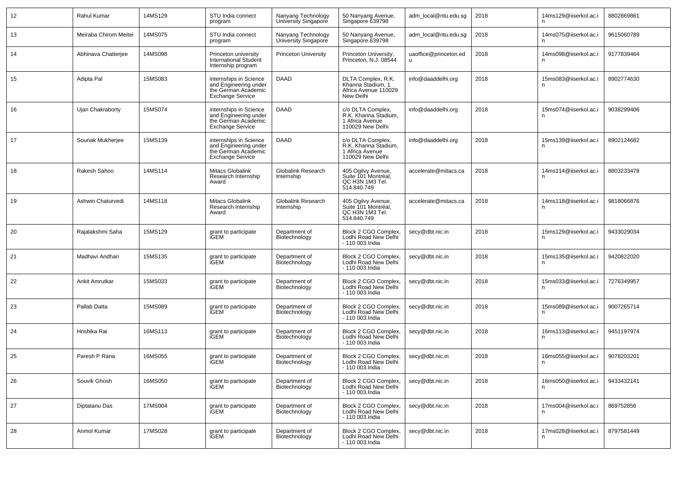| 12 | Rahul Kumar           | 14MS129 | STU India connect<br>program                                                                      | Nanyang Technology<br>University Singapore | 50 Nanyang Avenue,<br>Singapore 639798                                           | adm_local@ntu.edu.sg  | 2018 | 14ms129@iiserkol.ac.i       | 8802869861 |
|----|-----------------------|---------|---------------------------------------------------------------------------------------------------|--------------------------------------------|----------------------------------------------------------------------------------|-----------------------|------|-----------------------------|------------|
| 13 | Meiraba Chirom Meitei | 14MS075 | STU India connect<br>program                                                                      | Nanyang Technology<br>University Singapore | 50 Nanyang Avenue,<br>Singapore 639798                                           | adm_local@ntu.edu.sg  | 2018 | 14ms075@iiserkol.ac.i       | 9615060789 |
| 14 | Abhinava Chatterjee   | 14MS098 | Princeton university<br><b>International Student</b><br>Internship program                        | <b>Princeton University</b>                | Princeton University,<br>Princeton, N.J. 08544                                   | uaoffice@princeton.ed | 2018 | 14ms098@iiserkol.ac.i       | 9177839464 |
| 15 | Adipta Pal            | 15MS083 | internships in Science<br>and Engineering under<br>the German Academic<br><b>Exchange Service</b> | DAAD                                       | DLTA Complex, R.K.<br>Khanna Stadium, 1<br>Africa Avenue 110029<br>New Delhi     | info@daaddelhi.org    | 2018 | 15ms083@iiserkol.ac.i<br>n  | 8902774630 |
| 16 | Ujan Chakraborty      | 15MS074 | internships in Science<br>and Engineering under<br>the German Academic<br><b>Exchange Service</b> | DAAD                                       | c/o DLTA Complex,<br>R.K. Khanna Stadium,<br>1 Africa Avenue<br>110029 New Delhi | info@daaddelhi.org    | 2018 | 15ms074@iiserkol.ac.i<br>n  | 9038299406 |
| 17 | Sounak Mukherjee      | 15MS139 | internships in Science<br>and Engineering under<br>the German Academic<br><b>Exchange Service</b> | DAAD                                       | c/o DLTA Complex,<br>R.K. Khanna Stadium,<br>1 Africa Avenue<br>110029 New Delhi | info@daaddelhi.org    | 2018 | 15ms139@iiserkol.ac.i<br>n  | 8902124682 |
| 18 | Rakesh Sahoo          | 14MS114 | Mitacs Globalink<br>Research Internship<br>Award                                                  | Globalink Research<br>Internship           | 405 Ogilvy Avenue,<br>Suite 101 Montréal,<br>QC H3N 1M3 Tel.<br>514.840.749      | accelerate@mitacs.ca  | 2018 | 14ms114@iiserkol.ac.i       | 8803233478 |
| 19 | Ashwin Chaturvedi     | 14MS118 | Mitacs Globalink<br>Research Internship<br>Award                                                  | Globalink Research<br>Internship           | 405 Ogilvy Avenue,<br>Suite 101 Montréal,<br>QC H3N 1M3 Tel.<br>514.840.749      | accelerate@mitacs.ca  | 2018 | 14ms118@iiserkol.ac.i<br>n  | 9818066876 |
| 20 | Rajalakshmi Saha      | 15MS129 | grant to participate<br>iGEM                                                                      | Department of<br>Biotechnology             | Block 2 CGO Complex,<br>Lodhi Road New Delhi<br>- 110 003. India                 | secy@dbt.nic.in       | 2018 | 15ms129@iiserkol.ac.i<br>n  | 9433029034 |
| 21 | Madhavi Andhari       | 15MS135 | grant to participate<br>iGEM                                                                      | Department of<br>Biotechnology             | Block 2 CGO Complex,<br>Lodhi Road New Delhi<br>- 110 003. India                 | secy@dbt.nic.in       | 2018 | 15ms135@iiserkol.ac.i<br>n. | 9420822020 |
| 22 | Ankit Amrutkar        | 15MS033 | grant to participate<br>iGEM                                                                      | Department of<br>Biotechnology             | Block 2 CGO Complex,<br>Lodhi Road New Delhi<br>- 110 003.India                  | secy@dbt.nic.in       | 2018 | 15ms033@iiserkol.ac.i<br>n  | 7276349957 |
| 23 | Pallab Datta          | 15MS089 | grant to participate<br>iGEM                                                                      | Department of<br>Biotechnology             | Block 2 CGO Complex,<br>Lodhi Road New Delhi<br>- 110 003. India                 | secy@dbt.nic.in       | 2018 | 15ms089@iiserkol.ac.i<br>n  | 9007265714 |
| 24 | Hrishika Rai          | 16MS113 | grant to participate<br>iGEM                                                                      | Department of<br>Biotechnology             | Block 2 CGO Complex,<br>Lodhi Road New Delhi<br>- 110 003. India                 | secy@dbt.nic.in       | 2018 | 16ms113@iiserkol.ac.i<br>n  | 9451197974 |
| 25 | Paresh P Rana         | 16MS055 | grant to participate<br>iGEM                                                                      | Department of<br>Biotechnology             | Block 2 CGO Complex,<br>Lodhi Road New Delhi<br>- 110 003.India                  | secy@dbt.nic.in       | 2018 | 16ms055@iiserkol.ac.i<br>n  | 9078203201 |
| 26 | Souvik Ghosh          | 16MS050 | grant to participate<br>iGEM                                                                      | Department of<br>Biotechnology             | Block 2 CGO Complex,<br>Lodhi Road New Delhi<br>- 110 003. India                 | secy@dbt.nic.in       | 2018 | 16ms050@iiserkol.ac.i<br>n  | 9433432141 |
| 27 | Diptatanu Das         | 17MS004 | grant to participate<br>iGEM                                                                      | Department of<br>Biotechnology             | Block 2 CGO Complex,<br>Lodhi Road New Delhi<br>- 110 003. India                 | secy@dbt.nic.in       | 2018 | 17ms004@iiserkol.ac.i<br>n. | 869752856  |
| 28 | Anmol Kumar           | 17MS028 | grant to participate<br>iGEM                                                                      | Department of<br>Biotechnology             | Block 2 CGO Complex,<br>Lodhi Road New Delhi<br>- 110 003. India                 | secy@dbt.nic.in       | 2018 | 17ms028@iiserkol.ac.i<br>n  | 8797581449 |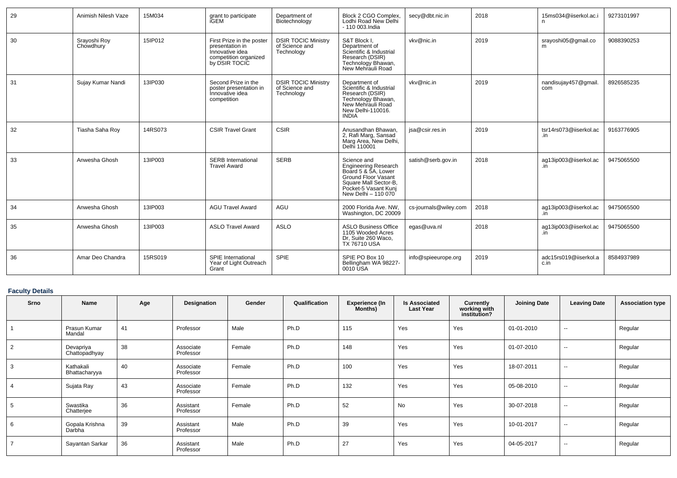| 29 | Animish Nilesh Vaze       | 15M034  | grant to participate<br><b>iGEM</b>                                                                       | Department of<br>Biotechnology                             | Block 2 CGO Complex,<br>Lodhi Road New Delhi<br>- 110 003. India                                                                                                        | secy@dbt.nic.in       | 2018 | 15ms034@iiserkol.ac.i<br>n    | 9273101997 |
|----|---------------------------|---------|-----------------------------------------------------------------------------------------------------------|------------------------------------------------------------|-------------------------------------------------------------------------------------------------------------------------------------------------------------------------|-----------------------|------|-------------------------------|------------|
| 30 | Srayoshi Roy<br>Chowdhury | 15IP012 | First Prize in the poster<br>presentation in<br>Innovative idea<br>competition organized<br>by DSIR TOCIC | <b>DSIR TOCIC Ministry</b><br>of Science and<br>Technology | S&T Block I,<br>Department of<br>Scientific & Industrial<br>Research (DSIR)<br>Technology Bhawan,<br>New Mehrauli Road                                                  | vkv@nic.in            | 2019 | srayoshi05@gmail.co           | 9088390253 |
| 31 | Sujay Kumar Nandi         | 13IP030 | Second Prize in the<br>poster presentation in<br>Innovative idea<br>competition                           | <b>DSIR TOCIC Ministry</b><br>of Science and<br>Technology | Department of<br>Scientific & Industrial<br>Research (DSIR)<br>Technology Bhawan,<br>New Mehrauli Road<br>New Delhi-110016.<br><b>INDIA</b>                             | vkv@nic.in            | 2019 | nandisujay457@gmail.<br>com   | 8926585235 |
| 32 | Tiasha Saha Roy           | 14RS073 | <b>CSIR Travel Grant</b>                                                                                  | <b>CSIR</b>                                                | Anusandhan Bhawan,<br>2, Rafi Marg, Sansad<br>Marg Area, New Delhi,<br>Delhi 110001                                                                                     | jsa@csir.res.in       | 2019 | tsr14rs073@iiserkol.ac<br>.in | 9163776905 |
| 33 | Anwesha Ghosh             | 13IP003 | <b>SERB</b> International<br><b>Travel Award</b>                                                          | <b>SERB</b>                                                | Science and<br><b>Engineering Research</b><br>Board 5 & 5A, Lower<br><b>Ground Floor Vasant</b><br>Square Mall Sector-B,<br>Pocket-5 Vasant Kunj<br>New Delhi - 110 070 | satish@serb.gov.in    | 2018 | ag13ip003@iiserkol.ac<br>in   | 9475065500 |
| 34 | Anwesha Ghosh             | 13IP003 | <b>AGU Travel Award</b>                                                                                   | AGU                                                        | 2000 Florida Ave, NW.<br>Washington, DC 20009                                                                                                                           | cs-journals@wiley.com | 2018 | ag13ip003@iiserkol.ac<br>.in  | 9475065500 |
| 35 | Anwesha Ghosh             | 13IP003 | <b>ASLO Travel Award</b>                                                                                  | <b>ASLO</b>                                                | <b>ASLO Business Office</b><br>1105 Wooded Acres<br>Dr, Suite 260 Waco,<br><b>TX 76710 USA</b>                                                                          | egas@uva.nl           | 2018 | ag13ip003@iiserkol.ac<br>.in  | 9475065500 |
| 36 | Amar Deo Chandra          | 15RS019 | SPIE International<br>Year of Light Outreach<br>Grant                                                     | <b>SPIE</b>                                                | SPIE PO Box 10<br>Bellingham WA 98227-<br>0010 USA                                                                                                                      | info@spieeurope.org   | 2019 | adc15rs019@iiserkol.a<br>c.in | 8584937989 |

# **Faculty Details**

| Srno | Name                       | Age | Designation            | Gender | Qualification | <b>Experience (In</b><br>Months) | <b>Is Associated</b><br><b>Last Year</b> | Currently<br>working with<br>institution? | <b>Joining Date</b> | <b>Leaving Date</b> | <b>Association type</b> |
|------|----------------------------|-----|------------------------|--------|---------------|----------------------------------|------------------------------------------|-------------------------------------------|---------------------|---------------------|-------------------------|
|      | Prasun Kumar<br>Mandal     | 41  | Professor              | Male   | Ph.D          | 115                              | Yes                                      | Yes                                       | 01-01-2010          | $\sim$              | Regular                 |
| 2    | Devapriya<br>Chattopadhyay | 38  | Associate<br>Professor | Female | Ph.D          | 148                              | Yes                                      | Yes                                       | 01-07-2010          | $\sim$              | Regular                 |
| 3    | Kathakali<br>Bhattacharyya | 40  | Associate<br>Professor | Female | Ph.D          | 100                              | Yes                                      | Yes                                       | 18-07-2011          | $\sim$              | Regular                 |
|      | Sujata Ray                 | 43  | Associate<br>Professor | Female | Ph.D          | 132                              | Yes                                      | Yes                                       | 05-08-2010          | $\sim$              | Regular                 |
|      | Swastika<br>Chatterjee     | 36  | Assistant<br>Professor | Female | Ph.D          | 52                               | No                                       | Yes                                       | 30-07-2018          | $\sim$              | Regular                 |
| 6    | Gopala Krishna<br>Darbha   | 39  | Assistant<br>Professor | Male   | Ph.D          | 39                               | Yes                                      | Yes                                       | 10-01-2017          | $\sim$              | Regular                 |
|      | Sayantan Sarkar            | 36  | Assistant<br>Professor | Male   | Ph.D          | 27                               | Yes                                      | Yes                                       | 04-05-2017          | $\sim$              | Regular                 |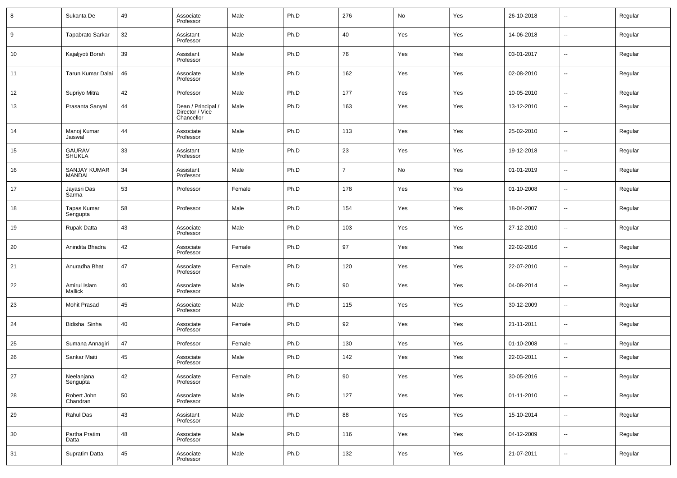| 8  | Sukanta De                     | 49 | Associate<br>Professor                              | Male   | Ph.D | 276            | No  | Yes | 26-10-2018 | $\overline{\phantom{a}}$ | Regular |
|----|--------------------------------|----|-----------------------------------------------------|--------|------|----------------|-----|-----|------------|--------------------------|---------|
| 9  | Tapabrato Sarkar               | 32 | Assistant<br>Professor                              | Male   | Ph.D | 40             | Yes | Yes | 14-06-2018 | $\overline{\phantom{a}}$ | Regular |
| 10 | Kajaljyoti Borah               | 39 | Assistant<br>Professor                              | Male   | Ph.D | 76             | Yes | Yes | 03-01-2017 | $\overline{\phantom{a}}$ | Regular |
| 11 | Tarun Kumar Dalai              | 46 | Associate<br>Professor                              | Male   | Ph.D | 162            | Yes | Yes | 02-08-2010 | $\overline{\phantom{a}}$ | Regular |
| 12 | Supriyo Mitra                  | 42 | Professor                                           | Male   | Ph.D | 177            | Yes | Yes | 10-05-2010 | $\overline{\phantom{a}}$ | Regular |
| 13 | Prasanta Sanyal                | 44 | Dean / Principal /<br>Director / Vice<br>Chancellor | Male   | Ph.D | 163            | Yes | Yes | 13-12-2010 | $\overline{\phantom{a}}$ | Regular |
| 14 | Manoj Kumar<br>Jaiswal         | 44 | Associate<br>Professor                              | Male   | Ph.D | 113            | Yes | Yes | 25-02-2010 | $\overline{\phantom{a}}$ | Regular |
| 15 | <b>GAURAV</b><br><b>SHUKLA</b> | 33 | Assistant<br>Professor                              | Male   | Ph.D | 23             | Yes | Yes | 19-12-2018 | $\overline{\phantom{a}}$ | Regular |
| 16 | SANJAY KUMAR<br><b>MANDAL</b>  | 34 | Assistant<br>Professor                              | Male   | Ph.D | $\overline{7}$ | No  | Yes | 01-01-2019 | $\overline{\phantom{a}}$ | Regular |
| 17 | Jayasri Das<br>Sarma           | 53 | Professor                                           | Female | Ph.D | 178            | Yes | Yes | 01-10-2008 | $\overline{\phantom{a}}$ | Regular |
| 18 | Tapas Kumar<br>Sengupta        | 58 | Professor                                           | Male   | Ph.D | 154            | Yes | Yes | 18-04-2007 | $\overline{\phantom{a}}$ | Regular |
| 19 | Rupak Datta                    | 43 | Associate<br>Professor                              | Male   | Ph.D | 103            | Yes | Yes | 27-12-2010 | $\overline{\phantom{a}}$ | Regular |
| 20 | Anindita Bhadra                | 42 | Associate<br>Professor                              | Female | Ph.D | 97             | Yes | Yes | 22-02-2016 | $\overline{\phantom{a}}$ | Regular |
| 21 | Anuradha Bhat                  | 47 | Associate<br>Professor                              | Female | Ph.D | 120            | Yes | Yes | 22-07-2010 | $\overline{\phantom{a}}$ | Regular |
| 22 | Amirul Islam<br><b>Mallick</b> | 40 | Associate<br>Professor                              | Male   | Ph.D | 90             | Yes | Yes | 04-08-2014 | $\overline{\phantom{a}}$ | Regular |
| 23 | Mohit Prasad                   | 45 | Associate<br>Professor                              | Male   | Ph.D | 115            | Yes | Yes | 30-12-2009 | $\overline{\phantom{a}}$ | Regular |
| 24 | Bidisha Sinha                  | 40 | Associate<br>Professor                              | Female | Ph.D | 92             | Yes | Yes | 21-11-2011 | $\overline{\phantom{a}}$ | Regular |
| 25 | Sumana Annagiri                | 47 | Professor                                           | Female | Ph.D | 130            | Yes | Yes | 01-10-2008 | $\overline{\phantom{a}}$ | Regular |
| 26 | Sankar Maiti                   | 45 | Associate<br>Professor                              | Male   | Ph.D | 142            | Yes | Yes | 22-03-2011 | $\overline{\phantom{a}}$ | Regular |
| 27 | Neelanjana<br>Sengupta         | 42 | Associate<br>Professor                              | Female | Ph.D | $90\,$         | Yes | Yes | 30-05-2016 | ۰.                       | Regular |
| 28 | Robert John<br>Chandran        | 50 | Associate<br>Professor                              | Male   | Ph.D | 127            | Yes | Yes | 01-11-2010 | $\overline{\phantom{a}}$ | Regular |
| 29 | Rahul Das                      | 43 | Assistant<br>Professor                              | Male   | Ph.D | 88             | Yes | Yes | 15-10-2014 | ۰.                       | Regular |
| 30 | Partha Pratim<br>Datta         | 48 | Associate<br>Professor                              | Male   | Ph.D | 116            | Yes | Yes | 04-12-2009 | $\overline{\phantom{a}}$ | Regular |
| 31 | Supratim Datta                 | 45 | Associate<br>Professor                              | Male   | Ph.D | 132            | Yes | Yes | 21-07-2011 | $\overline{\phantom{a}}$ | Regular |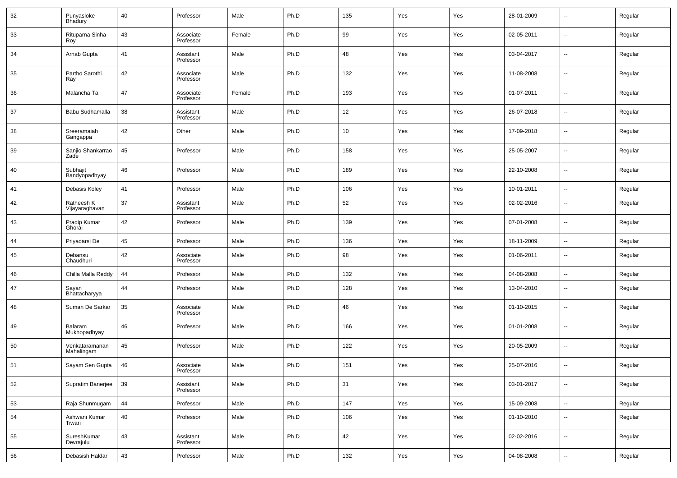| 32 | Punyasloke<br><b>Bhadury</b>        | 40 | Professor              | Male   | Ph.D | 135 | Yes | Yes | 28-01-2009 | $\overline{\phantom{a}}$ | Regular |
|----|-------------------------------------|----|------------------------|--------|------|-----|-----|-----|------------|--------------------------|---------|
| 33 | Rituparna Sinha<br>Roy <sup>-</sup> | 43 | Associate<br>Professor | Female | Ph.D | 99  | Yes | Yes | 02-05-2011 | $\sim$                   | Regular |
| 34 | Arnab Gupta                         | 41 | Assistant<br>Professor | Male   | Ph.D | 48  | Yes | Yes | 03-04-2017 | $\overline{\phantom{a}}$ | Regular |
| 35 | Partho Sarothi<br>Ray               | 42 | Associate<br>Professor | Male   | Ph.D | 132 | Yes | Yes | 11-08-2008 | $\overline{\phantom{a}}$ | Regular |
| 36 | Malancha Ta                         | 47 | Associate<br>Professor | Female | Ph.D | 193 | Yes | Yes | 01-07-2011 | $\overline{\phantom{a}}$ | Regular |
| 37 | Babu Sudhamalla                     | 38 | Assistant<br>Professor | Male   | Ph.D | 12  | Yes | Yes | 26-07-2018 | $\overline{\phantom{a}}$ | Regular |
| 38 | Sreeramaiah<br>Gangappa             | 42 | Other                  | Male   | Ph.D | 10  | Yes | Yes | 17-09-2018 | $\overline{\phantom{a}}$ | Regular |
| 39 | Sanjio Shankarrao<br>Zade           | 45 | Professor              | Male   | Ph.D | 158 | Yes | Yes | 25-05-2007 | $\overline{\phantom{a}}$ | Regular |
| 40 | Subhajit<br>Bandyopadhyay           | 46 | Professor              | Male   | Ph.D | 189 | Yes | Yes | 22-10-2008 | $\overline{\phantom{a}}$ | Regular |
| 41 | Debasis Koley                       | 41 | Professor              | Male   | Ph.D | 106 | Yes | Yes | 10-01-2011 | $\sim$                   | Regular |
| 42 | Ratheesh K<br>Vijayaraghavan        | 37 | Assistant<br>Professor | Male   | Ph.D | 52  | Yes | Yes | 02-02-2016 | --                       | Regular |
| 43 | Pradip Kumar<br>Ghorai              | 42 | Professor              | Male   | Ph.D | 139 | Yes | Yes | 07-01-2008 | $\overline{\phantom{a}}$ | Regular |
| 44 | Priyadarsi De                       | 45 | Professor              | Male   | Ph.D | 136 | Yes | Yes | 18-11-2009 | $\overline{\phantom{a}}$ | Regular |
| 45 | Debansu<br>Chaudhuri                | 42 | Associate<br>Professor | Male   | Ph.D | 98  | Yes | Yes | 01-06-2011 | $\overline{\phantom{a}}$ | Regular |
| 46 | Chilla Malla Reddy                  | 44 | Professor              | Male   | Ph.D | 132 | Yes | Yes | 04-08-2008 | $\overline{\phantom{a}}$ | Regular |
| 47 | Sayan<br>Bhattacharyya              | 44 | Professor              | Male   | Ph.D | 128 | Yes | Yes | 13-04-2010 | $\overline{\phantom{a}}$ | Regular |
| 48 | Suman De Sarkar                     | 35 | Associate<br>Professor | Male   | Ph.D | 46  | Yes | Yes | 01-10-2015 | $\overline{\phantom{a}}$ | Regular |
| 49 | Balaram<br>Mukhopadhyay             | 46 | Professor              | Male   | Ph.D | 166 | Yes | Yes | 01-01-2008 | --                       | Regular |
| 50 | Venkataramanan<br>Mahalingam        | 45 | Professor              | Male   | Ph.D | 122 | Yes | Yes | 20-05-2009 | $\overline{\phantom{a}}$ | Regular |
| 51 | Sayam Sen Gupta                     | 46 | Associate<br>Professor | Male   | Ph.D | 151 | Yes | Yes | 25-07-2016 | $\overline{\phantom{a}}$ | Regular |
| 52 | Supratim Banerjee                   | 39 | Assistant<br>Professor | Male   | Ph.D | 31  | Yes | Yes | 03-01-2017 | $\sim$                   | Regular |
| 53 | Raja Shunmugam                      | 44 | Professor              | Male   | Ph.D | 147 | Yes | Yes | 15-09-2008 | $\overline{\phantom{a}}$ | Regular |
| 54 | Ashwani Kumar<br>Tiwari             | 40 | Professor              | Male   | Ph.D | 106 | Yes | Yes | 01-10-2010 | $\sim$                   | Regular |
| 55 | SureshKumar<br>Devrajulu            | 43 | Assistant<br>Professor | Male   | Ph.D | 42  | Yes | Yes | 02-02-2016 | $\sim$                   | Regular |
| 56 | Debasish Haldar                     | 43 | Professor              | Male   | Ph.D | 132 | Yes | Yes | 04-08-2008 | $\sim$                   | Regular |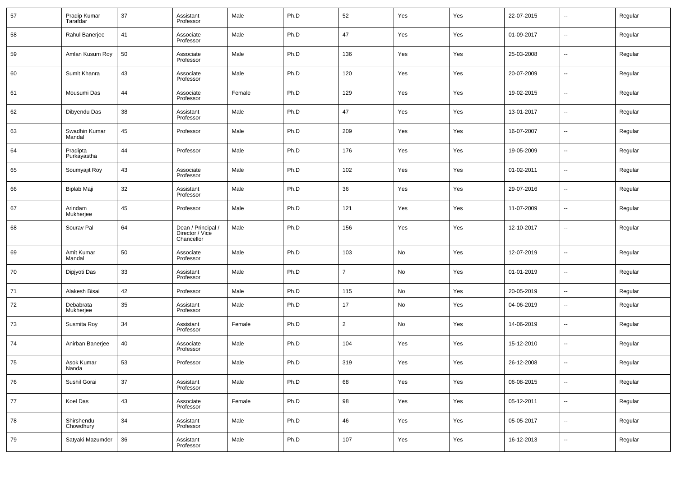| 57 | Pradip Kumar<br>Tarafdar | 37 | Assistant<br>Professor                              | Male   | Ph.D | 52             | Yes | Yes | 22-07-2015 | --                       | Regular |
|----|--------------------------|----|-----------------------------------------------------|--------|------|----------------|-----|-----|------------|--------------------------|---------|
| 58 | Rahul Banerjee           | 41 | Associate<br>Professor                              | Male   | Ph.D | 47             | Yes | Yes | 01-09-2017 | --                       | Regular |
| 59 | Amlan Kusum Roy          | 50 | Associate<br>Professor                              | Male   | Ph.D | 136            | Yes | Yes | 25-03-2008 | $\sim$                   | Regular |
| 60 | Sumit Khanra             | 43 | Associate<br>Professor                              | Male   | Ph.D | 120            | Yes | Yes | 20-07-2009 | $\sim$                   | Regular |
| 61 | Mousumi Das              | 44 | Associate<br>Professor                              | Female | Ph.D | 129            | Yes | Yes | 19-02-2015 | $\sim$                   | Regular |
| 62 | Dibyendu Das             | 38 | Assistant<br>Professor                              | Male   | Ph.D | 47             | Yes | Yes | 13-01-2017 | $\sim$                   | Regular |
| 63 | Swadhin Kumar<br>Mandal  | 45 | Professor                                           | Male   | Ph.D | 209            | Yes | Yes | 16-07-2007 | $\sim$                   | Regular |
| 64 | Pradipta<br>Purkayastha  | 44 | Professor                                           | Male   | Ph.D | 176            | Yes | Yes | 19-05-2009 | $\sim$                   | Regular |
| 65 | Soumyajit Roy            | 43 | Associate<br>Professor                              | Male   | Ph.D | 102            | Yes | Yes | 01-02-2011 | $\sim$                   | Regular |
| 66 | Biplab Maji              | 32 | Assistant<br>Professor                              | Male   | Ph.D | 36             | Yes | Yes | 29-07-2016 | $\sim$                   | Regular |
| 67 | Arindam<br>Mukherjee     | 45 | Professor                                           | Male   | Ph.D | 121            | Yes | Yes | 11-07-2009 | $\sim$                   | Regular |
| 68 | Sourav Pal               | 64 | Dean / Principal /<br>Director / Vice<br>Chancellor | Male   | Ph.D | 156            | Yes | Yes | 12-10-2017 | --                       | Regular |
| 69 | Amit Kumar<br>Mandal     | 50 | Associate<br>Professor                              | Male   | Ph.D | 103            | No  | Yes | 12-07-2019 | $\overline{a}$           | Regular |
| 70 | Dipjyoti Das             | 33 | Assistant<br>Professor                              | Male   | Ph.D | $\overline{7}$ | No  | Yes | 01-01-2019 | ш,                       | Regular |
| 71 | Alakesh Bisai            | 42 | Professor                                           | Male   | Ph.D | 115            | No  | Yes | 20-05-2019 | $\overline{\phantom{a}}$ | Regular |
| 72 | Debabrata<br>Mukherjee   | 35 | Assistant<br>Professor                              | Male   | Ph.D | 17             | No  | Yes | 04-06-2019 | --                       | Regular |
| 73 | Susmita Roy              | 34 | Assistant<br>Professor                              | Female | Ph.D | $\overline{2}$ | No  | Yes | 14-06-2019 | --                       | Regular |
| 74 | Anirban Banerjee         | 40 | Associate<br>Professor                              | Male   | Ph.D | 104            | Yes | Yes | 15-12-2010 | --                       | Regular |
| 75 | Asok Kumar<br>Nanda      | 53 | Professor                                           | Male   | Ph.D | 319            | Yes | Yes | 26-12-2008 | --                       | Regular |
| 76 | Sushil Gorai             | 37 | Assistant<br>Professor                              | Male   | Ph.D | 68             | Yes | Yes | 06-08-2015 | $\sim$                   | Regular |
| 77 | Koel Das                 | 43 | Associate<br>Professor                              | Female | Ph.D | 98             | Yes | Yes | 05-12-2011 | $\overline{\phantom{a}}$ | Regular |
| 78 | Shirshendu<br>Chowdhury  | 34 | Assistant<br>Professor                              | Male   | Ph.D | 46             | Yes | Yes | 05-05-2017 | $\sim$                   | Regular |
| 79 | Satyaki Mazumder         | 36 | Assistant<br>Professor                              | Male   | Ph.D | 107            | Yes | Yes | 16-12-2013 | $\sim$                   | Regular |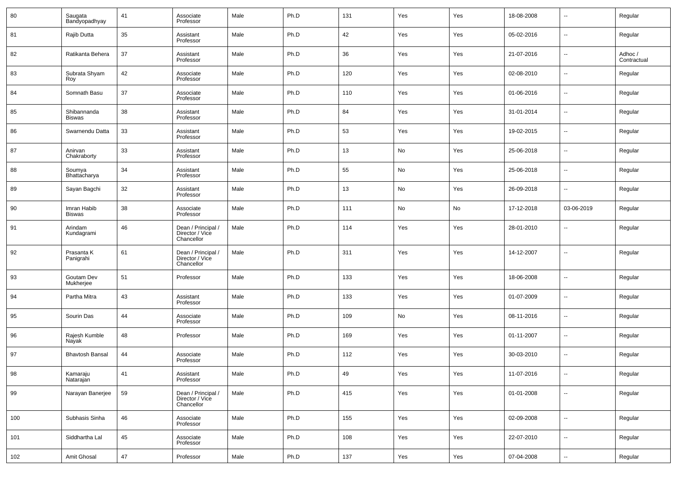| 80  | Saugata<br>Bandyopadhyay | 41 | Associate<br>Professor                              | Male | Ph.D | 131 | Yes | Yes | 18-08-2008 | н.                       | Regular                |
|-----|--------------------------|----|-----------------------------------------------------|------|------|-----|-----|-----|------------|--------------------------|------------------------|
| 81  | Rajib Dutta              | 35 | Assistant<br>Professor                              | Male | Ph.D | 42  | Yes | Yes | 05-02-2016 | н.                       | Regular                |
| 82  | Ratikanta Behera         | 37 | Assistant<br>Professor                              | Male | Ph.D | 36  | Yes | Yes | 21-07-2016 | н.                       | Adhoc /<br>Contractual |
| 83  | Subrata Shyam<br>Roy     | 42 | Associate<br>Professor                              | Male | Ph.D | 120 | Yes | Yes | 02-08-2010 | н.                       | Regular                |
| 84  | Somnath Basu             | 37 | Associate<br>Professor                              | Male | Ph.D | 110 | Yes | Yes | 01-06-2016 | н.                       | Regular                |
| 85  | Shibannanda<br>Biswas    | 38 | Assistant<br>Professor                              | Male | Ph.D | 84  | Yes | Yes | 31-01-2014 | ⊷                        | Regular                |
| 86  | Swarnendu Datta          | 33 | Assistant<br>Professor                              | Male | Ph.D | 53  | Yes | Yes | 19-02-2015 | н.                       | Regular                |
| 87  | Anirvan<br>Chakraborty   | 33 | Assistant<br>Professor                              | Male | Ph.D | 13  | No  | Yes | 25-06-2018 | ⊷                        | Regular                |
| 88  | Soumya<br>Bhattacharya   | 34 | Assistant<br>Professor                              | Male | Ph.D | 55  | No  | Yes | 25-06-2018 | н.                       | Regular                |
| 89  | Sayan Bagchi             | 32 | Assistant<br>Professor                              | Male | Ph.D | 13  | No  | Yes | 26-09-2018 | н.                       | Regular                |
| 90  | Imran Habib<br>Biswas    | 38 | Associate<br>Professor                              | Male | Ph.D | 111 | No  | No  | 17-12-2018 | 03-06-2019               | Regular                |
| 91  | Arindam<br>Kundagrami    | 46 | Dean / Principal /<br>Director / Vice<br>Chancellor | Male | Ph.D | 114 | Yes | Yes | 28-01-2010 | $\overline{\phantom{a}}$ | Regular                |
| 92  | Prasanta K<br>Panigrahi  | 61 | Dean / Principal /<br>Director / Vice<br>Chancellor | Male | Ph.D | 311 | Yes | Yes | 14-12-2007 | --                       | Regular                |
| 93  | Goutam Dev<br>Mukherjee  | 51 | Professor                                           | Male | Ph.D | 133 | Yes | Yes | 18-06-2008 | $\overline{\phantom{a}}$ | Regular                |
| 94  | Partha Mitra             | 43 | Assistant<br>Professor                              | Male | Ph.D | 133 | Yes | Yes | 01-07-2009 | ⊷                        | Regular                |
| 95  | Sourin Das               | 44 | Associate<br>Professor                              | Male | Ph.D | 109 | No  | Yes | 08-11-2016 | $\overline{\phantom{a}}$ | Regular                |
| 96  | Rajesh Kumble<br>Nayak   | 48 | Professor                                           | Male | Ph.D | 169 | Yes | Yes | 01-11-2007 | ⊷                        | Regular                |
| 97  | <b>Bhavtosh Bansal</b>   | 44 | Associate<br>Professor                              | Male | Ph.D | 112 | Yes | Yes | 30-03-2010 | --                       | Regular                |
| 98  | Kamaraju<br>Natarajan    | 41 | Assistant<br>Professor                              | Male | Ph.D | 49  | Yes | Yes | 11-07-2016 | $\sim$                   | Regular                |
| 99  | Narayan Banerjee         | 59 | Dean / Principal /<br>Director / Vice<br>Chancellor | Male | Ph.D | 415 | Yes | Yes | 01-01-2008 | $\sim$                   | Regular                |
| 100 | Subhasis Sinha           | 46 | Associate<br>Professor                              | Male | Ph.D | 155 | Yes | Yes | 02-09-2008 | н.                       | Regular                |
| 101 | Siddhartha Lal           | 45 | Associate<br>Professor                              | Male | Ph.D | 108 | Yes | Yes | 22-07-2010 | $\sim$                   | Regular                |
| 102 | Amit Ghosal              | 47 | Professor                                           | Male | Ph.D | 137 | Yes | Yes | 07-04-2008 | н.                       | Regular                |